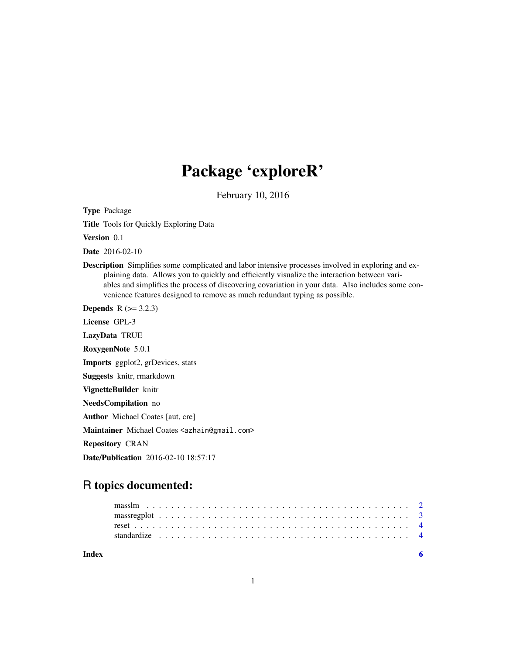## Package 'exploreR'

February 10, 2016

Type Package

Title Tools for Quickly Exploring Data

Version 0.1

Date 2016-02-10

Description Simplifies some complicated and labor intensive processes involved in exploring and explaining data. Allows you to quickly and efficiently visualize the interaction between variables and simplifies the process of discovering covariation in your data. Also includes some convenience features designed to remove as much redundant typing as possible.

**Depends**  $R$  ( $> = 3.2.3$ )

License GPL-3

LazyData TRUE

RoxygenNote 5.0.1

Imports ggplot2, grDevices, stats

Suggests knitr, rmarkdown

VignetteBuilder knitr

NeedsCompilation no

Author Michael Coates [aut, cre]

Maintainer Michael Coates <azhain@gmail.com>

Repository CRAN

Date/Publication 2016-02-10 18:57:17

### R topics documented:

| Index |  |  |  |  |  |  |  |  |  |  |  |  |  |  |  |  |  |  |  |  |  |  |
|-------|--|--|--|--|--|--|--|--|--|--|--|--|--|--|--|--|--|--|--|--|--|--|
|       |  |  |  |  |  |  |  |  |  |  |  |  |  |  |  |  |  |  |  |  |  |  |
|       |  |  |  |  |  |  |  |  |  |  |  |  |  |  |  |  |  |  |  |  |  |  |
|       |  |  |  |  |  |  |  |  |  |  |  |  |  |  |  |  |  |  |  |  |  |  |
|       |  |  |  |  |  |  |  |  |  |  |  |  |  |  |  |  |  |  |  |  |  |  |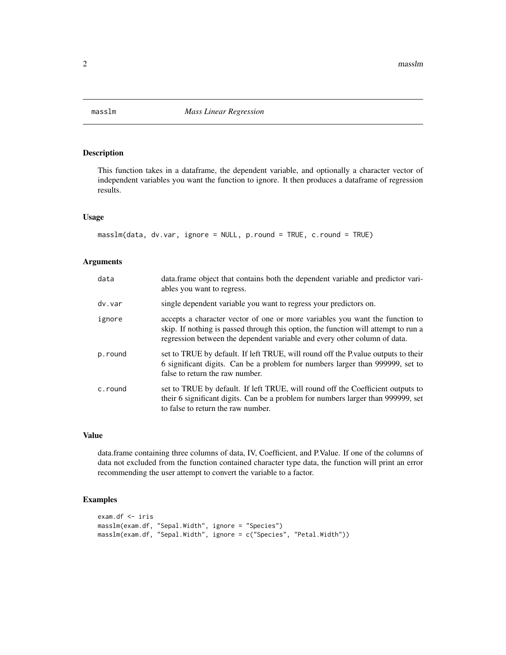<span id="page-1-0"></span>

#### Description

This function takes in a dataframe, the dependent variable, and optionally a character vector of independent variables you want the function to ignore. It then produces a dataframe of regression results.

#### Usage

```
masslm(data, dv-var, ignore = NULL, pround = TRUE, cround = TRUE)
```
#### Arguments

| data    | data.frame object that contains both the dependent variable and predictor vari-<br>ables you want to regress.                                                                                                                                   |
|---------|-------------------------------------------------------------------------------------------------------------------------------------------------------------------------------------------------------------------------------------------------|
| dv.var  | single dependent variable you want to regress your predictors on.                                                                                                                                                                               |
| ignore  | accepts a character vector of one or more variables you want the function to<br>skip. If nothing is passed through this option, the function will attempt to run a<br>regression between the dependent variable and every other column of data. |
| p.round | set to TRUE by default. If left TRUE, will round off the P value outputs to their<br>6 significant digits. Can be a problem for numbers larger than 999999, set to<br>false to return the raw number.                                           |
| c.round | set to TRUE by default. If left TRUE, will round off the Coefficient outputs to<br>their 6 significant digits. Can be a problem for numbers larger than 999999, set<br>to false to return the raw number.                                       |

#### Value

data.frame containing three columns of data, IV, Coefficient, and P.Value. If one of the columns of data not excluded from the function contained character type data, the function will print an error recommending the user attempt to convert the variable to a factor.

#### Examples

```
exam.df <- iris
masslm(exam.df, "Sepal.Width", ignore = "Species")
masslm(exam.df, "Sepal.Width", ignore = c("Species", "Petal.Width"))
```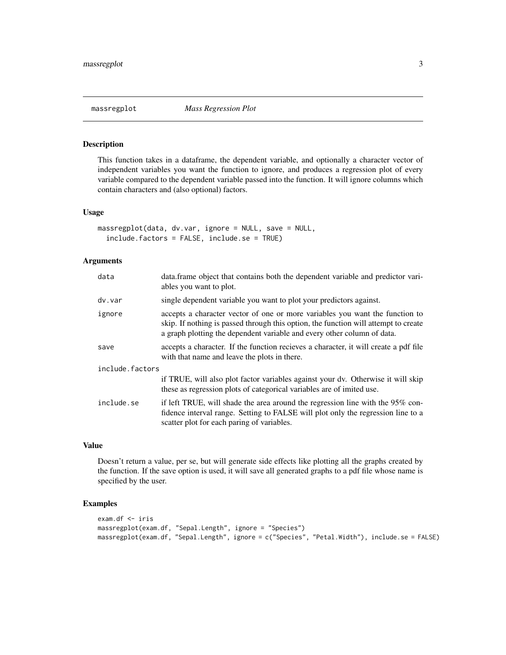<span id="page-2-0"></span>

#### Description

This function takes in a dataframe, the dependent variable, and optionally a character vector of independent variables you want the function to ignore, and produces a regression plot of every variable compared to the dependent variable passed into the function. It will ignore columns which contain characters and (also optional) factors.

#### Usage

```
massregplot(data, dv.var, ignore = NULL, save = NULL,
  include.factors = FALSE, include.se = TRUE)
```
#### Arguments

| data            | data.frame object that contains both the dependent variable and predictor vari-<br>ables you want to plot.                                                                                                                                     |
|-----------------|------------------------------------------------------------------------------------------------------------------------------------------------------------------------------------------------------------------------------------------------|
| dv.var          | single dependent variable you want to plot your predictors against.                                                                                                                                                                            |
| ignore          | accepts a character vector of one or more variables you want the function to<br>skip. If nothing is passed through this option, the function will attempt to create<br>a graph plotting the dependent variable and every other column of data. |
| save            | accepts a character. If the function recieves a character, it will create a pdf file<br>with that name and leave the plots in there.                                                                                                           |
| include.factors |                                                                                                                                                                                                                                                |
|                 | if TRUE, will also plot factor variables against your dv. Otherwise it will skip<br>these as regression plots of categorical variables are of imited use.                                                                                      |
| include.se      | if left TRUE, will shade the area around the regression line with the 95% con-<br>fidence interval range. Setting to FALSE will plot only the regression line to a<br>scatter plot for each paring of variables.                               |

#### Value

Doesn't return a value, per se, but will generate side effects like plotting all the graphs created by the function. If the save option is used, it will save all generated graphs to a pdf file whose name is specified by the user.

#### Examples

```
exam.df <- iris
massregplot(exam.df, "Sepal.Length", ignore = "Species")
massregplot(exam.df, "Sepal.Length", ignore = c("Species", "Petal.Width"), include.se = FALSE)
```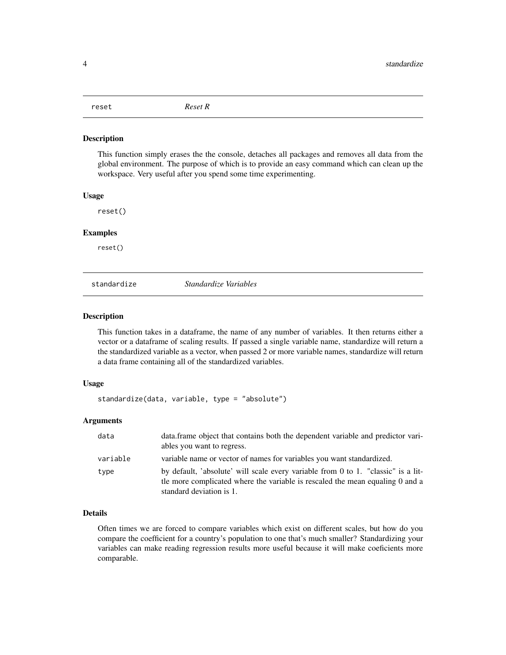<span id="page-3-0"></span>

#### Description

This function simply erases the the console, detaches all packages and removes all data from the global environment. The purpose of which is to provide an easy command which can clean up the workspace. Very useful after you spend some time experimenting.

#### Usage

reset()

#### Examples

reset()

standardize *Standardize Variables*

#### Description

This function takes in a dataframe, the name of any number of variables. It then returns either a vector or a dataframe of scaling results. If passed a single variable name, standardize will return a the standardized variable as a vector, when passed 2 or more variable names, standardize will return a data frame containing all of the standardized variables.

#### Usage

standardize(data, variable, type = "absolute")

#### Arguments

| data     | data frame object that contains both the dependent variable and predictor vari-<br>ables you want to regress.                                                                                  |
|----------|------------------------------------------------------------------------------------------------------------------------------------------------------------------------------------------------|
| variable | variable name or vector of names for variables you want standardized.                                                                                                                          |
| type     | by default, 'absolute' will scale every variable from 0 to 1. "classic" is a lit-<br>the more complicated where the variable is rescaled the mean equaling 0 and a<br>standard deviation is 1. |

#### Details

Often times we are forced to compare variables which exist on different scales, but how do you compare the coefficient for a country's population to one that's much smaller? Standardizing your variables can make reading regression results more useful because it will make coeficients more comparable.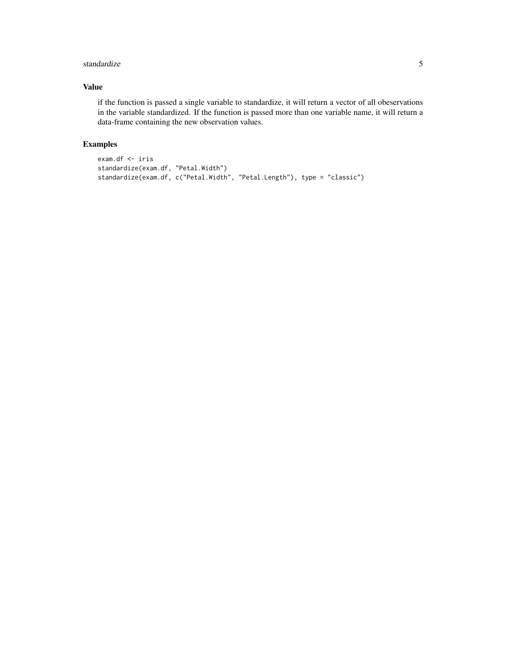#### standardize 5

#### Value

if the function is passed a single variable to standardize, it will return a vector of all obeservations in the variable standardized. If the function is passed more than one variable name, it will return a data-frame containing the new observation values.

#### Examples

```
exam.df <- iris
standardize(exam.df, "Petal.Width")
standardize(exam.df, c("Petal.Width", "Petal.Length"), type = "classic")
```